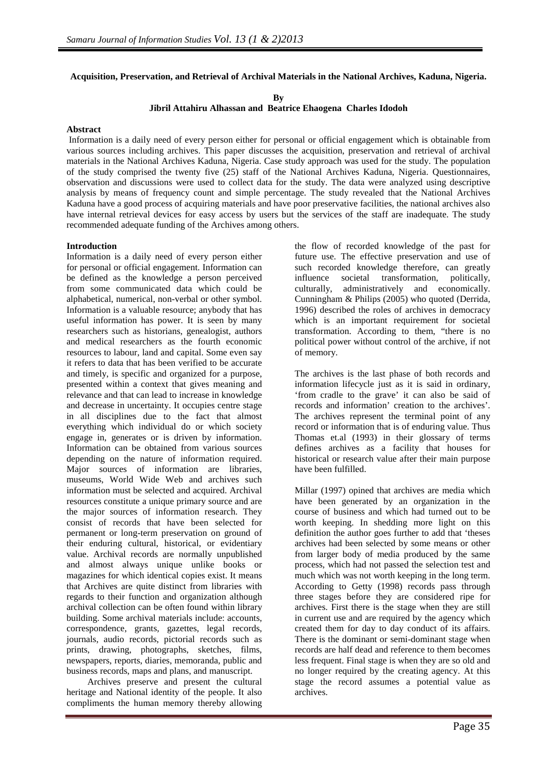## **Acquisition, Preservation, and Retrieval of Archival Materials in the National Archives, Kaduna, Nigeria.**

**By** 

**Jibril Attahiru Alhassan and Beatrice Ehaogena Charles Idodoh** 

#### **Abstract**

 Information is a daily need of every person either for personal or official engagement which is obtainable from various sources including archives. This paper discusses the acquisition, preservation and retrieval of archival materials in the National Archives Kaduna, Nigeria. Case study approach was used for the study. The population of the study comprised the twenty five (25) staff of the National Archives Kaduna, Nigeria. Questionnaires, observation and discussions were used to collect data for the study. The data were analyzed using descriptive analysis by means of frequency count and simple percentage. The study revealed that the National Archives Kaduna have a good process of acquiring materials and have poor preservative facilities, the national archives also have internal retrieval devices for easy access by users but the services of the staff are inadequate. The study recommended adequate funding of the Archives among others.

#### **Introduction**

Information is a daily need of every person either for personal or official engagement. Information can be defined as the knowledge a person perceived from some communicated data which could be alphabetical, numerical, non-verbal or other symbol. Information is a valuable resource; anybody that has useful information has power. It is seen by many researchers such as historians, genealogist, authors and medical researchers as the fourth economic resources to labour, land and capital. Some even say it refers to data that has been verified to be accurate and timely, is specific and organized for a purpose, presented within a context that gives meaning and relevance and that can lead to increase in knowledge and decrease in uncertainty. It occupies centre stage in all disciplines due to the fact that almost everything which individual do or which society engage in, generates or is driven by information. Information can be obtained from various sources depending on the nature of information required. Major sources of information are libraries, museums, World Wide Web and archives such information must be selected and acquired. Archival resources constitute a unique primary source and are the major sources of information research. They consist of records that have been selected for permanent or long-term preservation on ground of their enduring cultural, historical, or evidentiary value. Archival records are normally unpublished and almost always unique unlike books or magazines for which identical copies exist. It means that Archives are quite distinct from libraries with regards to their function and organization although archival collection can be often found within library building. Some archival materials include: accounts, correspondence, grants, gazettes, legal records, journals, audio records, pictorial records such as prints, drawing, photographs, sketches, films, newspapers, reports, diaries, memoranda, public and business records, maps and plans, and manuscript.

 Archives preserve and present the cultural heritage and National identity of the people. It also compliments the human memory thereby allowing the flow of recorded knowledge of the past for future use. The effective preservation and use of such recorded knowledge therefore, can greatly influence societal transformation, politically, culturally, administratively and economically. Cunningham & Philips (2005) who quoted (Derrida, 1996) described the roles of archives in democracy which is an important requirement for societal transformation. According to them, "there is no political power without control of the archive, if not of memory.

The archives is the last phase of both records and information lifecycle just as it is said in ordinary, 'from cradle to the grave' it can also be said of records and information' creation to the archives'. The archives represent the terminal point of any record or information that is of enduring value. Thus Thomas et.al (1993) in their glossary of terms defines archives as a facility that houses for historical or research value after their main purpose have been fulfilled.

Millar (1997) opined that archives are media which have been generated by an organization in the course of business and which had turned out to be worth keeping. In shedding more light on this definition the author goes further to add that 'theses archives had been selected by some means or other from larger body of media produced by the same process, which had not passed the selection test and much which was not worth keeping in the long term. According to Getty (1998) records pass through three stages before they are considered ripe for archives. First there is the stage when they are still in current use and are required by the agency which created them for day to day conduct of its affairs. There is the dominant or semi-dominant stage when records are half dead and reference to them becomes less frequent. Final stage is when they are so old and no longer required by the creating agency. At this stage the record assumes a potential value as archives.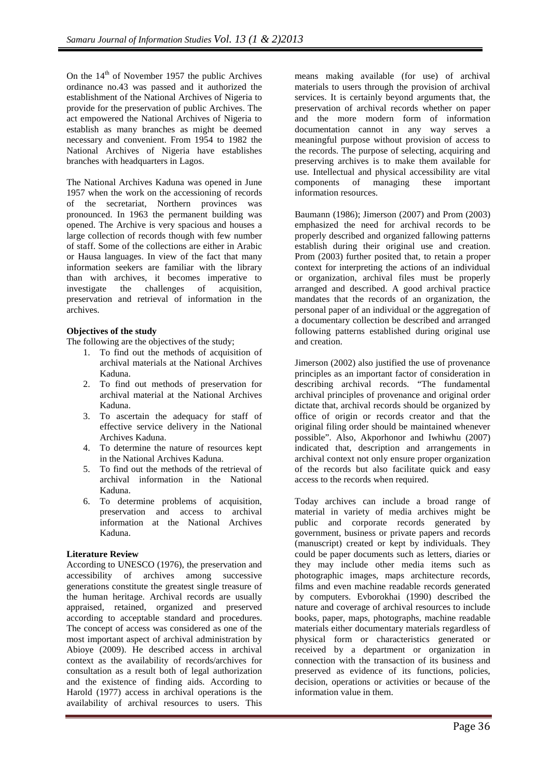On the  $14<sup>th</sup>$  of November 1957 the public Archives ordinance no.43 was passed and it authorized the establishment of the National Archives of Nigeria to provide for the preservation of public Archives. The act empowered the National Archives of Nigeria to establish as many branches as might be deemed necessary and convenient. From 1954 to 1982 the National Archives of Nigeria have establishes branches with headquarters in Lagos.

The National Archives Kaduna was opened in June 1957 when the work on the accessioning of records of the secretariat, Northern provinces was pronounced. In 1963 the permanent building was opened. The Archive is very spacious and houses a large collection of records though with few number of staff. Some of the collections are either in Arabic or Hausa languages. In view of the fact that many information seekers are familiar with the library than with archives, it becomes imperative to investigate the challenges of acquisition, preservation and retrieval of information in the archives.

# **Objectives of the study**

The following are the objectives of the study;

- 1. To find out the methods of acquisition of archival materials at the National Archives Kaduna.
- 2. To find out methods of preservation for archival material at the National Archives Kaduna.
- 3. To ascertain the adequacy for staff of effective service delivery in the National Archives Kaduna.
- 4. To determine the nature of resources kept in the National Archives Kaduna.
- 5. To find out the methods of the retrieval of archival information in the National Kaduna.
- 6. To determine problems of acquisition, preservation and access to archival information at the National Archives Kaduna.

### **Literature Review**

According to UNESCO (1976), the preservation and accessibility of archives among successive generations constitute the greatest single treasure of the human heritage. Archival records are usually appraised, retained, organized and preserved according to acceptable standard and procedures. The concept of access was considered as one of the most important aspect of archival administration by Abioye (2009). He described access in archival context as the availability of records/archives for consultation as a result both of legal authorization and the existence of finding aids. According to Harold (1977) access in archival operations is the availability of archival resources to users. This means making available (for use) of archival materials to users through the provision of archival services. It is certainly beyond arguments that, the preservation of archival records whether on paper and the more modern form of information documentation cannot in any way serves a meaningful purpose without provision of access to the records. The purpose of selecting, acquiring and preserving archives is to make them available for use. Intellectual and physical accessibility are vital components of managing these important information resources.

Baumann (1986); Jimerson (2007) and Prom (2003) emphasized the need for archival records to be properly described and organized fallowing patterns establish during their original use and creation. Prom (2003) further posited that, to retain a proper context for interpreting the actions of an individual or organization, archival files must be properly arranged and described. A good archival practice mandates that the records of an organization, the personal paper of an individual or the aggregation of a documentary collection be described and arranged following patterns established during original use and creation.

Jimerson (2002) also justified the use of provenance principles as an important factor of consideration in describing archival records. "The fundamental archival principles of provenance and original order dictate that, archival records should be organized by office of origin or records creator and that the original filing order should be maintained whenever possible". Also, Akporhonor and Iwhiwhu (2007) indicated that, description and arrangements in archival context not only ensure proper organization of the records but also facilitate quick and easy access to the records when required.

Today archives can include a broad range of material in variety of media archives might be public and corporate records generated by government, business or private papers and records (manuscript) created or kept by individuals. They could be paper documents such as letters, diaries or they may include other media items such as photographic images, maps architecture records, films and even machine readable records generated by computers. Evborokhai (1990) described the nature and coverage of archival resources to include books, paper, maps, photographs, machine readable materials either documentary materials regardless of physical form or characteristics generated or received by a department or organization in connection with the transaction of its business and preserved as evidence of its functions, policies, decision, operations or activities or because of the information value in them.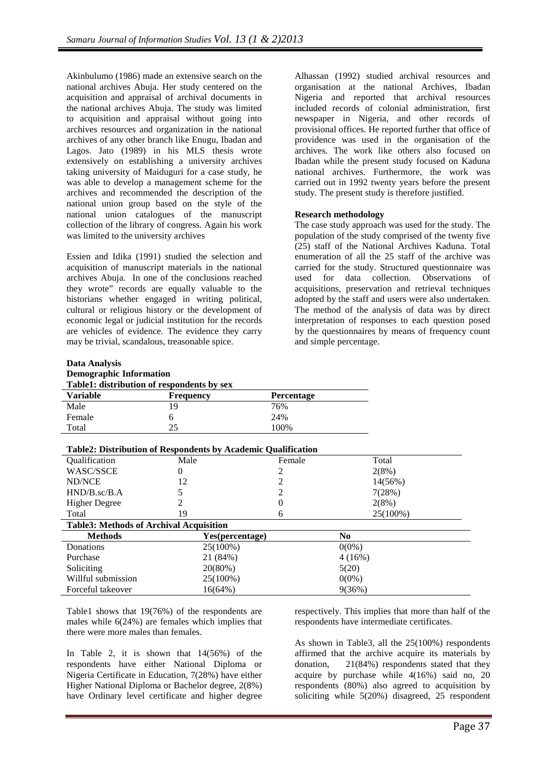Akinbulumo (1986) made an extensive search on the national archives Abuja. Her study centered on the acquisition and appraisal of archival documents in the national archives Abuja. The study was limited to acquisition and appraisal without going into archives resources and organization in the national archives of any other branch like Enugu, Ibadan and Lagos. Jato (1989) in his MLS thesis wrote extensively on establishing a university archives taking university of Maiduguri for a case study, he was able to develop a management scheme for the archives and recommended the description of the national union group based on the style of the national union catalogues of the manuscript collection of the library of congress. Again his work was limited to the university archives

Essien and Idika (1991) studied the selection and acquisition of manuscript materials in the national archives Abuja. In one of the conclusions reached they wrote" records are equally valuable to the historians whether engaged in writing political, cultural or religious history or the development of economic legal or judicial institution for the records are vehicles of evidence. The evidence they carry may be trivial, scandalous, treasonable spice.

Alhassan (1992) studied archival resources and organisation at the national Archives, Ibadan Nigeria and reported that archival resources included records of colonial administration, first newspaper in Nigeria, and other records of provisional offices. He reported further that office of providence was used in the organisation of the archives. The work like others also focused on Ibadan while the present study focused on Kaduna national archives. Furthermore, the work was carried out in 1992 twenty years before the present study. The present study is therefore justified.

# **Research methodology**

The case study approach was used for the study. The population of the study comprised of the twenty five (25) staff of the National Archives Kaduna. Total enumeration of all the 25 staff of the archive was carried for the study. Structured questionnaire was used for data collection. Observations of acquisitions, preservation and retrieval techniques adopted by the staff and users were also undertaken. The method of the analysis of data was by direct interpretation of responses to each question posed by the questionnaires by means of frequency count and simple percentage.

# **Data Analysis Demographic Information Table1: distribution of respondents by sex**

| <b>Table1: distribution of respondents by sex</b> |                  |                   |
|---------------------------------------------------|------------------|-------------------|
| <b>Variable</b>                                   | <b>Frequency</b> | <b>Percentage</b> |
| Male                                              | 19               | 76%               |
| Female                                            | n                | 24%               |
| Total                                             | つく               | 100%              |

| Table2: Distribution of Respondents by Academic Qualification |                 |          |                |  |
|---------------------------------------------------------------|-----------------|----------|----------------|--|
| <b>Oualification</b>                                          | Male            | Female   | Total          |  |
| <b>WASC/SSCE</b>                                              | 0               |          | 2(8%)          |  |
| ND/NCE                                                        | 12              |          | 14(56%)        |  |
| $HND/B$ .sc/ $B.A$                                            |                 | 2        | 7(28%)         |  |
| <b>Higher Degree</b>                                          |                 | $\Omega$ | 2(8%)          |  |
| Total                                                         | 19              | 6        | 25(100%)       |  |
| <b>Table3: Methods of Archival Acquisition</b>                |                 |          |                |  |
| <b>Methods</b>                                                | Yes(percentage) |          | N <sub>0</sub> |  |
| Donations                                                     | $25(100\%)$     |          | $0(0\%)$       |  |
| Purchase                                                      | 21 (84%)        |          | 4(16%)         |  |
| Soliciting                                                    | 20(80%)         |          | 5(20)          |  |
| Willful submission                                            | $25(100\%)$     |          | $0(0\%)$       |  |
| Forceful takeover                                             | 16(64%)         |          | 9(36%)         |  |

Table1 shows that 19(76%) of the respondents are males while 6(24%) are females which implies that there were more males than females.

In Table 2, it is shown that  $14(56%)$  of the respondents have either National Diploma or Nigeria Certificate in Education, 7(28%) have either Higher National Diploma or Bachelor degree, 2(8%) have Ordinary level certificate and higher degree

respectively. This implies that more than half of the respondents have intermediate certificates.

As shown in Table3, all the 25(100%) respondents affirmed that the archive acquire its materials by donation, 21(84%) respondents stated that they acquire by purchase while 4(16%) said no, 20 respondents (80%) also agreed to acquisition by soliciting while 5(20%) disagreed, 25 respondent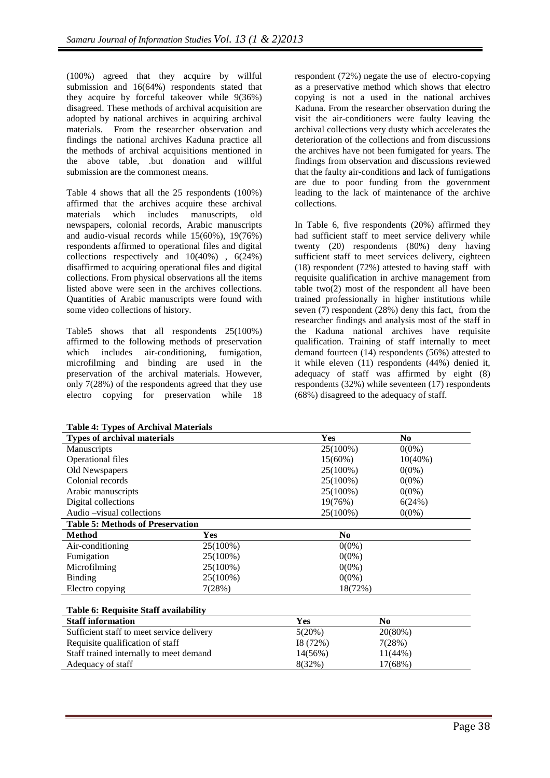(100%) agreed that they acquire by willful submission and 16(64%) respondents stated that they acquire by forceful takeover while 9(36%) disagreed. These methods of archival acquisition are adopted by national archives in acquiring archival materials. From the researcher observation and findings the national archives Kaduna practice all the methods of archival acquisitions mentioned in the above table, .but donation and willful submission are the commonest means.

Table 4 shows that all the 25 respondents (100%) affirmed that the archives acquire these archival materials which includes manuscripts, old newspapers, colonial records, Arabic manuscripts and audio-visual records while 15(60%), 19(76%) respondents affirmed to operational files and digital collections respectively and 10(40%) , 6(24%) disaffirmed to acquiring operational files and digital collections. From physical observations all the items listed above were seen in the archives collections. Quantities of Arabic manuscripts were found with some video collections of history.

Table5 shows that all respondents 25(100%) affirmed to the following methods of preservation which includes air-conditioning, fumigation, microfilming and binding are used in the preservation of the archival materials. However, only 7(28%) of the respondents agreed that they use electro copying for preservation while 18

respondent (72%) negate the use of electro-copying as a preservative method which shows that electro copying is not a used in the national archives Kaduna. From the researcher observation during the visit the air-conditioners were faulty leaving the archival collections very dusty which accelerates the deterioration of the collections and from discussions the archives have not been fumigated for years. The findings from observation and discussions reviewed that the faulty air-conditions and lack of fumigations are due to poor funding from the government leading to the lack of maintenance of the archive collections.

In Table 6, five respondents (20%) affirmed they had sufficient staff to meet service delivery while twenty (20) respondents (80%) deny having sufficient staff to meet services delivery, eighteen (18) respondent (72%) attested to having staff with requisite qualification in archive management from table two(2) most of the respondent all have been trained professionally in higher institutions while seven  $(7)$  respondent  $(28%)$  deny this fact, from the researcher findings and analysis most of the staff in the Kaduna national archives have requisite qualification. Training of staff internally to meet demand fourteen (14) respondents (56%) attested to it while eleven (11) respondents (44%) denied it, adequacy of staff was affirmed by eight (8) respondents (32%) while seventeen (17) respondents (68%) disagreed to the adequacy of staff.

| Table 4: Types of Archival Materials    |             |             |                |  |
|-----------------------------------------|-------------|-------------|----------------|--|
| <b>Types of archival materials</b>      |             | <b>Yes</b>  | N <sub>0</sub> |  |
| Manuscripts                             |             | 25(100%)    | $0(0\%)$       |  |
| <b>Operational files</b>                |             | $15(60\%)$  | $10(40\%)$     |  |
| Old Newspapers                          |             | $25(100\%)$ | $0(0\%)$       |  |
| Colonial records                        |             | $25(100\%)$ | $0(0\%)$       |  |
| Arabic manuscripts                      |             | $25(100\%)$ | $0(0\%)$       |  |
| Digital collections                     |             | 19(76%)     | 6(24%)         |  |
| Audio – visual collections              |             | $25(100\%)$ | $0(0\%)$       |  |
| <b>Table 5: Methods of Preservation</b> |             |             |                |  |
| <b>Method</b>                           | <b>Yes</b>  | No.         |                |  |
| Air-conditioning                        | 25(100%)    | $0(0\%)$    |                |  |
| Fumigation                              | $25(100\%)$ | $0(0\%)$    |                |  |
| Microfilming                            | $25(100\%)$ | $0(0\%)$    |                |  |
| Binding                                 | $25(100\%)$ | $0(0\%)$    |                |  |
| Electro copying                         | 7(28%)      | 18(72%)     |                |  |

#### **Table 6: Requisite Staff availability**

| <b>Staff information</b>                  | Yes       | No         |
|-------------------------------------------|-----------|------------|
| Sufficient staff to meet service delivery | $5(20\%)$ | $20(80\%)$ |
| Requisite qualification of staff          | 18(72%)   | 7(28%)     |
| Staff trained internally to meet demand   | 14(56%)   | $11(44\%)$ |
| Adequacy of staff                         | 8(32%)    | 17(68%)    |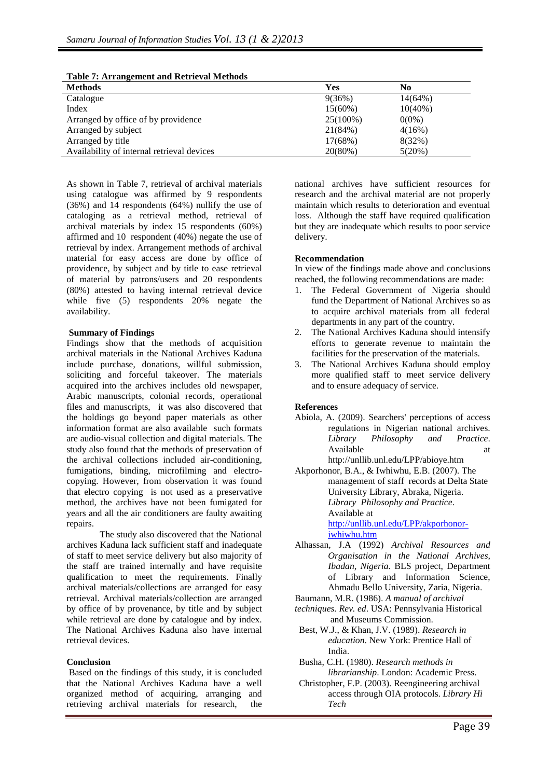| Tuble 7, Altennethen and Rettieval Methods |             |            |
|--------------------------------------------|-------------|------------|
| <b>Methods</b>                             | <b>Yes</b>  | No         |
| Catalogue                                  | 9(36%)      | $14(64\%)$ |
| Index                                      | $15(60\%)$  | $10(40\%)$ |
| Arranged by office of by providence        | $25(100\%)$ | $0(0\%)$   |
| Arranged by subject                        | 21(84%)     | 4(16%)     |
| Arranged by title                          | 17(68%)     | 8(32%)     |
| Availability of internal retrieval devices | 20(80%)     | 5(20%)     |

**Table 7: Arrangement and Retrieval Methods** 

As shown in Table 7, retrieval of archival materials using catalogue was affirmed by 9 respondents (36%) and 14 respondents (64%) nullify the use of cataloging as a retrieval method, retrieval of archival materials by index 15 respondents (60%) affirmed and 10 respondent (40%) negate the use of retrieval by index. Arrangement methods of archival material for easy access are done by office of providence, by subject and by title to ease retrieval of material by patrons/users and 20 respondents (80%) attested to having internal retrieval device while five (5) respondents 20% negate the availability.

### **Summary of Findings**

Findings show that the methods of acquisition archival materials in the National Archives Kaduna include purchase, donations, willful submission, soliciting and forceful takeover. The materials acquired into the archives includes old newspaper, Arabic manuscripts, colonial records, operational files and manuscripts, it was also discovered that the holdings go beyond paper materials as other information format are also available such formats are audio-visual collection and digital materials. The study also found that the methods of preservation of the archival collections included air-conditioning, fumigations, binding, microfilming and electrocopying. However, from observation it was found that electro copying is not used as a preservative method, the archives have not been fumigated for years and all the air conditioners are faulty awaiting repairs.

The study also discovered that the National archives Kaduna lack sufficient staff and inadequate of staff to meet service delivery but also majority of the staff are trained internally and have requisite qualification to meet the requirements. Finally archival materials/collections are arranged for easy retrieval. Archival materials/collection are arranged by office of by provenance, by title and by subject while retrieval are done by catalogue and by index. The National Archives Kaduna also have internal retrieval devices.

### **Conclusion**

 Based on the findings of this study, it is concluded that the National Archives Kaduna have a well organized method of acquiring, arranging and retrieving archival materials for research, the

national archives have sufficient resources for research and the archival material are not properly maintain which results to deterioration and eventual loss. Although the staff have required qualification but they are inadequate which results to poor service delivery.

### **Recommendation**

In view of the findings made above and conclusions reached, the following recommendations are made:

- 1. The Federal Government of Nigeria should fund the Department of National Archives so as to acquire archival materials from all federal departments in any part of the country.
- 2. The National Archives Kaduna should intensify efforts to generate revenue to maintain the facilities for the preservation of the materials.
- 3. The National Archives Kaduna should employ more qualified staff to meet service delivery and to ensure adequacy of service.

#### **References**

Abiola, A. (2009). Searchers' perceptions of access regulations in Nigerian national archives. *Library Philosophy and Practice*. Available at a state at the state at a state at a state at  $\alpha$ http://unllib.unl.edu/LPP/abioye.htm

Akporhonor, B.A., & Iwhiwhu, E.B. (2007). The management of staff records at Delta State University Library, Abraka, Nigeria. *Library Philosophy and Practice*. Available at

http://unllib.unl.edu/LPP/akporhonoriwhiwhu.htm

- Alhassan, J.A (1992) *Archival Resources and Organisation in the National Archives, Ibadan, Nigeria.* BLS project, Department of Library and Information Science, Ahmadu Bello University, Zaria, Nigeria.
- Baumann, M.R. (1986). *A manual of archival*
- *techniques. Rev. ed*. USA: Pennsylvania Historical and Museums Commission.
- Best, W.J., & Khan, J.V. (1989). *Research in education*. New York: Prentice Hall of India.
- Busha, C.H. (1980). *Research methods in librarianship*. London: Academic Press.
- Christopher, F.P. (2003). Reengineering archival access through OIA protocols. *Library Hi Tech*